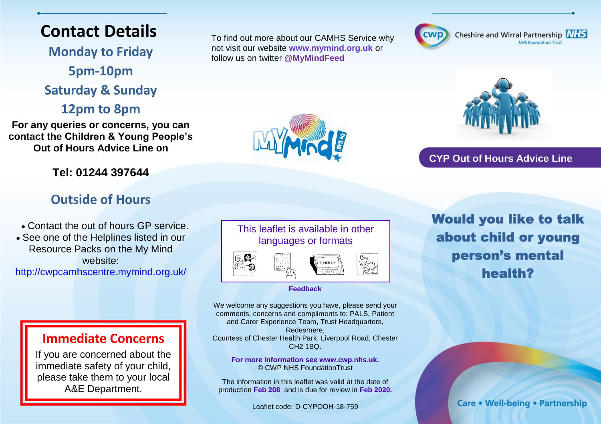### **Contact Details**

**Monday to Friday 5pm-10pm Saturday & Sunday** 

**12pm to 8pm**

**For any queries or concerns, you can contact the Children & Young People's Out of Hours Advice Line on**

#### **Tel: 01244 397644**

#### **Outside of Hours**

Contact the out of hours GP service.

 See one of the Helplines listed in our Resource Packs on the My Mind website:

http://cwpcamhscentre.mymind.org.uk/

#### **Immediate Concerns**

If you are concerned about the immediate safety of your child, please take them to your local A&E Department.

To find out more about our CAMHS Service why not visit our website **www.mymind.org.uk** or follow us on twitter **@MyMindFeed**



Cheshire and Wirral Partnership NHS **NHS Foundation Trust** 



**CYP Out of Hours Advice Line**

#### This leaflet is available in other languages or formats



**Feedback**

We welcome any suggestions you have, please send your comments, concerns and compliments to: PALS, Patient and Carer Experience Team, Trust Headquarters, Redesmere, Countess of Chester Health Park, Liverpool Road, Chester CH2 1BQ.

**For more information see www.cwp.nhs.uk.**  © CWP NHS FoundationTrust

The information in this leaflet was valid at the date of production **Feb 208** and is due for review in **Feb 2020.**

Leaflet code: D-CYPOOH-18-759

**Would you like to talk** about child or young person's mental health?

Care • Well-being • Partnership